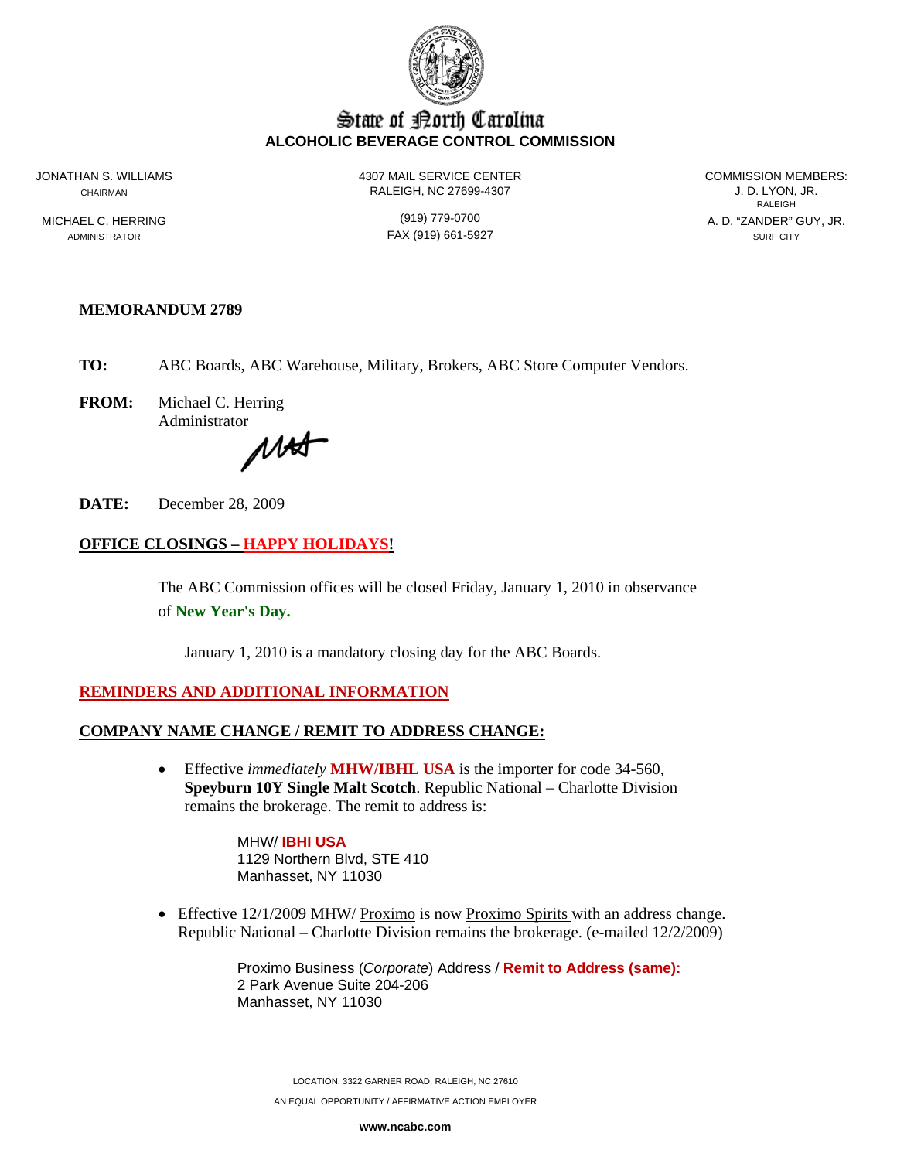

# State of Borth Carolina **ALCOHOLIC BEVERAGE CONTROL COMMISSION**

JONATHAN S. WILLIAMS 4307 MAIL SERVICE CENTER COMMISSION MEMBERS: CHAIRMAN RALEIGH, NC 27699-4307 J. D. LYON, JR.

**RALEIGH RALEIGH** MICHAEL C. HERRING (919) 779-0700 A. D. "ZANDER" GUY, JR.

ADMINISTRATOR SURF CITY CONTROL CONTROL CONTROL FAX (919) 661-5927 SURF CITY

### **MEMORANDUM 2789**

**TO:** ABC Boards, ABC Warehouse, Military, Brokers, ABC Store Computer Vendors.

**FROM:** Michael C. Herring Administrator

MAST

**DATE:** December 28, 2009

# **OFFICE CLOSINGS – HAPPY HOLIDAYS!**

The ABC Commission offices will be closed Friday, January 1, 2010 in observance of **New Year's Day.** 

January 1, 2010 is a mandatory closing day for the ABC Boards.

#### **REMINDERS AND ADDITIONAL INFORMATION**

#### **COMPANY NAME CHANGE / REMIT TO ADDRESS CHANGE:**

• Effective *immediately* **MHW/IBHL USA** is the importer for code 34-560, **Speyburn 10Y Single Malt Scotch**. Republic National – Charlotte Division remains the brokerage. The remit to address is:

> MHW/ **IBHI USA** 1129 Northern Blvd, STE 410 Manhasset, NY 11030

• Effective 12/1/2009 MHW/ Proximo is now Proximo Spirits with an address change. Republic National – Charlotte Division remains the brokerage. (e-mailed 12/2/2009)

> Proximo Business (*Corporate*) Address / **Remit to Address (same):** 2 Park Avenue Suite 204-206 Manhasset, NY 11030

LOCATION: 3322 GARNER ROAD, RALEIGH, NC 27610 AN EQUAL OPPORTUNITY / AFFIRMATIVE ACTION EMPLOYER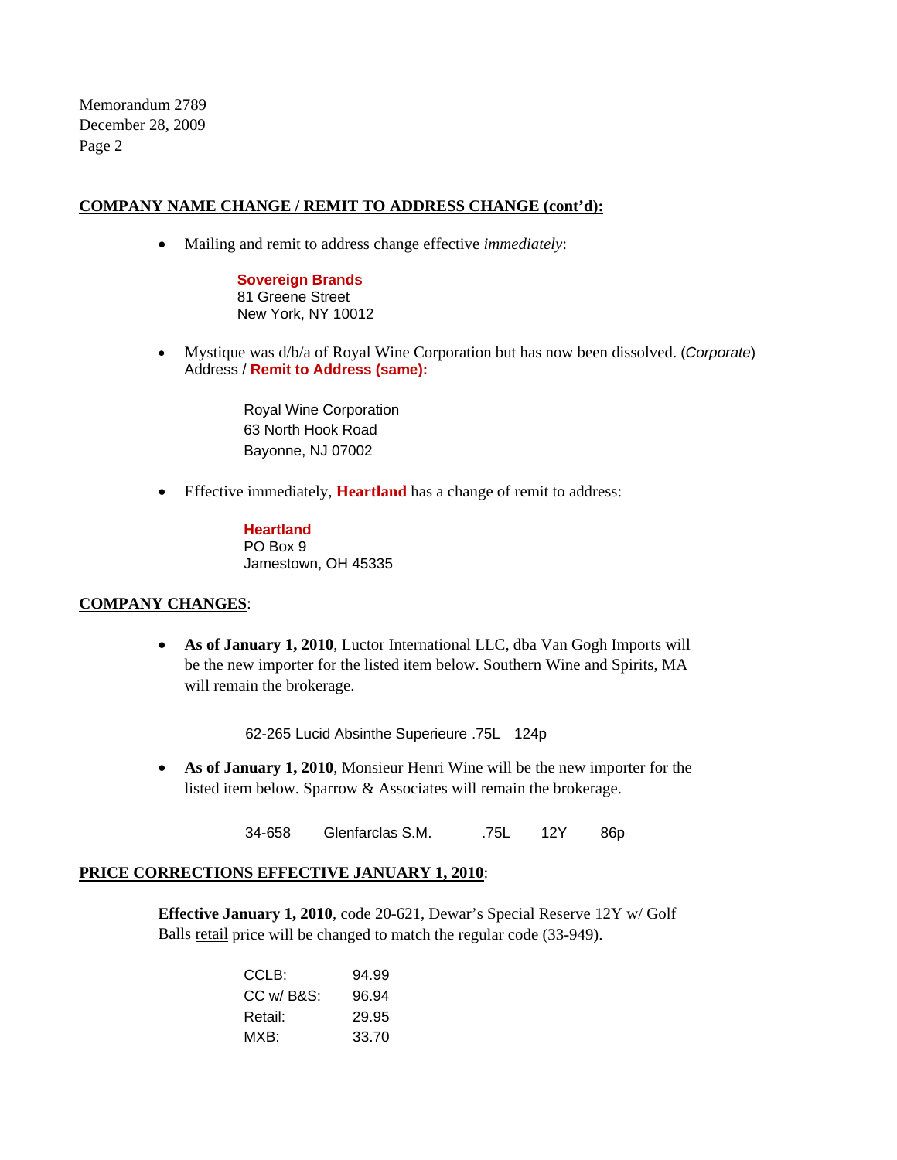Memorandum 2789 December 28, 2009 Page 2

## **COMPANY NAME CHANGE / REMIT TO ADDRESS CHANGE (cont'd):**

• Mailing and remit to address change effective *immediately*:

**Sovereign Brands**  81 Greene Street New York, NY 10012

• Mystique was d/b/a of Royal Wine Corporation but has now been dissolved. (*Corporate*) Address / **Remit to Address (same):**

> Royal Wine Corporation 63 North Hook Road Bayonne, NJ 07002

• Effective immediately, **Heartland** has a change of remit to address:

**Heartland**  PO Box 9 Jamestown, OH 45335

#### **COMPANY CHANGES**:

• **As of January 1, 2010**, Luctor International LLC, dba Van Gogh Imports will be the new importer for the listed item below. Southern Wine and Spirits, MA will remain the brokerage.

62-265 Lucid Absinthe Superieure .75L 124p

• **As of January 1, 2010**, Monsieur Henri Wine will be the new importer for the listed item below. Sparrow & Associates will remain the brokerage.

34-658 Glenfarclas S.M. 75L 12Y 86p

# **PRICE CORRECTIONS EFFECTIVE JANUARY 1, 2010**:

**Effective January 1, 2010**, code 20-621, Dewar's Special Reserve 12Y w/ Golf Balls retail price will be changed to match the regular code (33-949).

| 94.99 |
|-------|
| 96.94 |
| 29.95 |
| 33.70 |
|       |